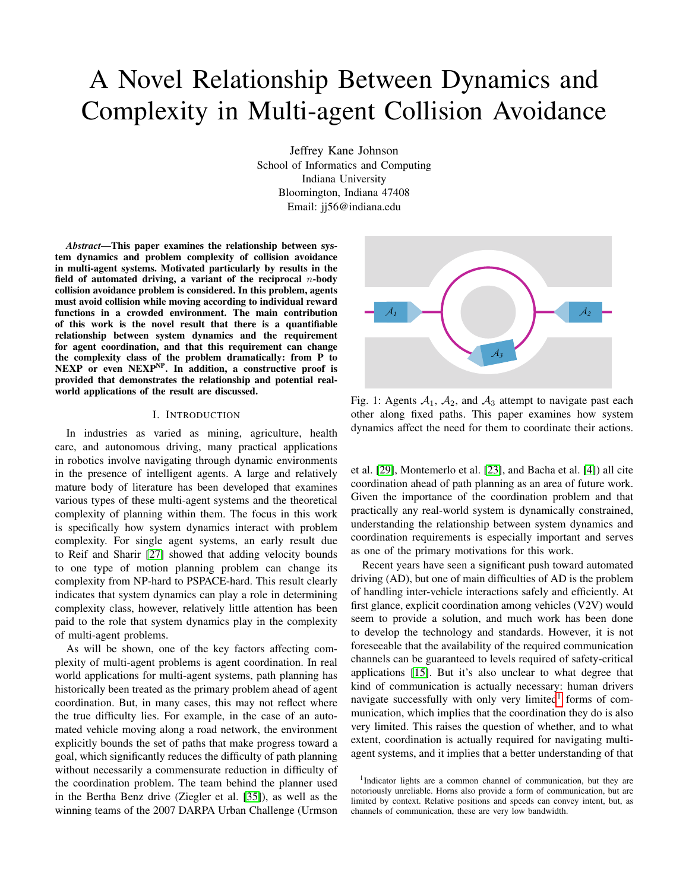# A Novel Relationship Between Dynamics and Complexity in Multi-agent Collision Avoidance

Jeffrey Kane Johnson School of Informatics and Computing Indiana University Bloomington, Indiana 47408 Email: jj56@indiana.edu

*Abstract*—This paper examines the relationship between system dynamics and problem complexity of collision avoidance in multi-agent systems. Motivated particularly by results in the field of automated driving, a variant of the reciprocal  $n$ -body collision avoidance problem is considered. In this problem, agents must avoid collision while moving according to individual reward functions in a crowded environment. The main contribution of this work is the novel result that there is a quantifiable relationship between system dynamics and the requirement for agent coordination, and that this requirement can change the complexity class of the problem dramatically: from P to NEXP or even NEXP<sup>NP</sup>. In addition, a constructive proof is provided that demonstrates the relationship and potential realworld applications of the result are discussed.

## I. INTRODUCTION

In industries as varied as mining, agriculture, health care, and autonomous driving, many practical applications in robotics involve navigating through dynamic environments in the presence of intelligent agents. A large and relatively mature body of literature has been developed that examines various types of these multi-agent systems and the theoretical complexity of planning within them. The focus in this work is specifically how system dynamics interact with problem complexity. For single agent systems, an early result due to Reif and Sharir [\[27\]](#page-9-0) showed that adding velocity bounds to one type of motion planning problem can change its complexity from NP-hard to PSPACE-hard. This result clearly indicates that system dynamics can play a role in determining complexity class, however, relatively little attention has been paid to the role that system dynamics play in the complexity of multi-agent problems.

As will be shown, one of the key factors affecting complexity of multi-agent problems is agent coordination. In real world applications for multi-agent systems, path planning has historically been treated as the primary problem ahead of agent coordination. But, in many cases, this may not reflect where the true difficulty lies. For example, in the case of an automated vehicle moving along a road network, the environment explicitly bounds the set of paths that make progress toward a goal, which significantly reduces the difficulty of path planning without necessarily a commensurate reduction in difficulty of the coordination problem. The team behind the planner used in the Bertha Benz drive (Ziegler et al. [\[35\]](#page-10-0)), as well as the winning teams of the 2007 DARPA Urban Challenge (Urmson



Fig. 1: Agents  $A_1$ ,  $A_2$ , and  $A_3$  attempt to navigate past each other along fixed paths. This paper examines how system dynamics affect the need for them to coordinate their actions.

et al. [\[29\]](#page-9-1), Montemerlo et al. [\[23\]](#page-9-2), and Bacha et al. [\[4\]](#page-8-0)) all cite coordination ahead of path planning as an area of future work. Given the importance of the coordination problem and that practically any real-world system is dynamically constrained, understanding the relationship between system dynamics and coordination requirements is especially important and serves as one of the primary motivations for this work.

Recent years have seen a significant push toward automated driving (AD), but one of main difficulties of AD is the problem of handling inter-vehicle interactions safely and efficiently. At first glance, explicit coordination among vehicles (V2V) would seem to provide a solution, and much work has been done to develop the technology and standards. However, it is not foreseeable that the availability of the required communication channels can be guaranteed to levels required of safety-critical applications [\[15\]](#page-8-1). But it's also unclear to what degree that kind of communication is actually necessary: human drivers navigate successfully with only very limited<sup>[1](#page-0-0)</sup> forms of communication, which implies that the coordination they do is also very limited. This raises the question of whether, and to what extent, coordination is actually required for navigating multiagent systems, and it implies that a better understanding of that

<span id="page-0-0"></span><sup>&</sup>lt;sup>1</sup>Indicator lights are a common channel of communication, but they are notoriously unreliable. Horns also provide a form of communication, but are limited by context. Relative positions and speeds can convey intent, but, as channels of communication, these are very low bandwidth.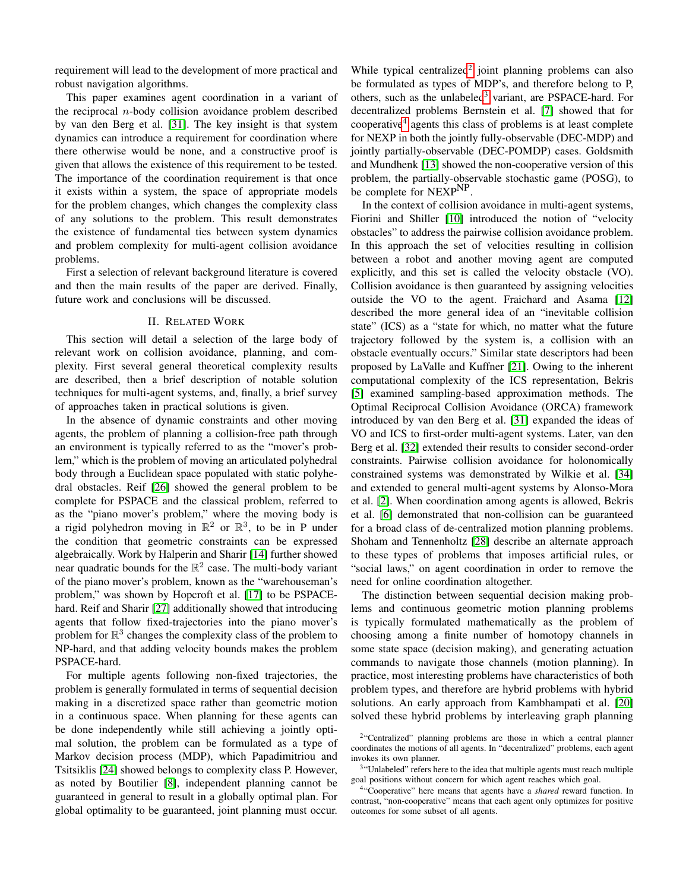requirement will lead to the development of more practical and robust navigation algorithms.

This paper examines agent coordination in a variant of the reciprocal  $n$ -body collision avoidance problem described by van den Berg et al. [\[31\]](#page-9-3). The key insight is that system dynamics can introduce a requirement for coordination where there otherwise would be none, and a constructive proof is given that allows the existence of this requirement to be tested. The importance of the coordination requirement is that once it exists within a system, the space of appropriate models for the problem changes, which changes the complexity class of any solutions to the problem. This result demonstrates the existence of fundamental ties between system dynamics and problem complexity for multi-agent collision avoidance problems.

First a selection of relevant background literature is covered and then the main results of the paper are derived. Finally, future work and conclusions will be discussed.

# II. RELATED WORK

<span id="page-1-3"></span>This section will detail a selection of the large body of relevant work on collision avoidance, planning, and complexity. First several general theoretical complexity results are described, then a brief description of notable solution techniques for multi-agent systems, and, finally, a brief survey of approaches taken in practical solutions is given.

In the absence of dynamic constraints and other moving agents, the problem of planning a collision-free path through an environment is typically referred to as the "mover's problem," which is the problem of moving an articulated polyhedral body through a Euclidean space populated with static polyhedral obstacles. Reif [\[26\]](#page-9-4) showed the general problem to be complete for PSPACE and the classical problem, referred to as the "piano mover's problem," where the moving body is a rigid polyhedron moving in  $\mathbb{R}^2$  or  $\mathbb{R}^3$ , to be in P under the condition that geometric constraints can be expressed algebraically. Work by Halperin and Sharir [\[14\]](#page-8-2) further showed near quadratic bounds for the  $\mathbb{R}^2$  case. The multi-body variant of the piano mover's problem, known as the "warehouseman's problem," was shown by Hopcroft et al. [\[17\]](#page-9-5) to be PSPACEhard. Reif and Sharir [\[27\]](#page-9-0) additionally showed that introducing agents that follow fixed-trajectories into the piano mover's problem for  $\mathbb{R}^3$  changes the complexity class of the problem to NP-hard, and that adding velocity bounds makes the problem PSPACE-hard.

For multiple agents following non-fixed trajectories, the problem is generally formulated in terms of sequential decision making in a discretized space rather than geometric motion in a continuous space. When planning for these agents can be done independently while still achieving a jointly optimal solution, the problem can be formulated as a type of Markov decision process (MDP), which Papadimitriou and Tsitsiklis [\[24\]](#page-9-6) showed belongs to complexity class P. However, as noted by Boutilier [\[8\]](#page-8-3), independent planning cannot be guaranteed in general to result in a globally optimal plan. For global optimality to be guaranteed, joint planning must occur.

While typical centralized<sup>[2](#page-1-0)</sup> joint planning problems can also be formulated as types of MDP's, and therefore belong to P, others, such as the unlabeled<sup>[3](#page-1-1)</sup> variant, are PSPACE-hard. For decentralized problems Bernstein et al. [\[7\]](#page-8-4) showed that for cooperative[4](#page-1-2) agents this class of problems is at least complete for NEXP in both the jointly fully-observable (DEC-MDP) and jointly partially-observable (DEC-POMDP) cases. Goldsmith and Mundhenk [\[13\]](#page-8-5) showed the non-cooperative version of this problem, the partially-observable stochastic game (POSG), to be complete for NEXP<sup>NP</sup>.

In the context of collision avoidance in multi-agent systems, Fiorini and Shiller [\[10\]](#page-8-6) introduced the notion of "velocity obstacles" to address the pairwise collision avoidance problem. In this approach the set of velocities resulting in collision between a robot and another moving agent are computed explicitly, and this set is called the velocity obstacle (VO). Collision avoidance is then guaranteed by assigning velocities outside the VO to the agent. Fraichard and Asama [\[12\]](#page-8-7) described the more general idea of an "inevitable collision state" (ICS) as a "state for which, no matter what the future trajectory followed by the system is, a collision with an obstacle eventually occurs." Similar state descriptors had been proposed by LaValle and Kuffner [\[21\]](#page-9-7). Owing to the inherent computational complexity of the ICS representation, Bekris [\[5\]](#page-8-8) examined sampling-based approximation methods. The Optimal Reciprocal Collision Avoidance (ORCA) framework introduced by van den Berg et al. [\[31\]](#page-9-3) expanded the ideas of VO and ICS to first-order multi-agent systems. Later, van den Berg et al. [\[32\]](#page-10-1) extended their results to consider second-order constraints. Pairwise collision avoidance for holonomically constrained systems was demonstrated by Wilkie et al. [\[34\]](#page-10-2) and extended to general multi-agent systems by Alonso-Mora et al. [\[2\]](#page-8-9). When coordination among agents is allowed, Bekris et al. [\[6\]](#page-8-10) demonstrated that non-collision can be guaranteed for a broad class of de-centralized motion planning problems. Shoham and Tennenholtz [\[28\]](#page-9-8) describe an alternate approach to these types of problems that imposes artificial rules, or "social laws," on agent coordination in order to remove the need for online coordination altogether.

The distinction between sequential decision making problems and continuous geometric motion planning problems is typically formulated mathematically as the problem of choosing among a finite number of homotopy channels in some state space (decision making), and generating actuation commands to navigate those channels (motion planning). In practice, most interesting problems have characteristics of both problem types, and therefore are hybrid problems with hybrid solutions. An early approach from Kambhampati et al. [\[20\]](#page-9-9) solved these hybrid problems by interleaving graph planning

<span id="page-1-1"></span><sup>3</sup>"Unlabeled" refers here to the idea that multiple agents must reach multiple goal positions without concern for which agent reaches which goal.

<span id="page-1-0"></span><sup>&</sup>lt;sup>2</sup>"Centralized" planning problems are those in which a central planner coordinates the motions of all agents. In "decentralized" problems, each agent invokes its own planner.

<span id="page-1-2"></span><sup>4</sup> "Cooperative" here means that agents have a *shared* reward function. In contrast, "non-cooperative" means that each agent only optimizes for positive outcomes for some subset of all agents.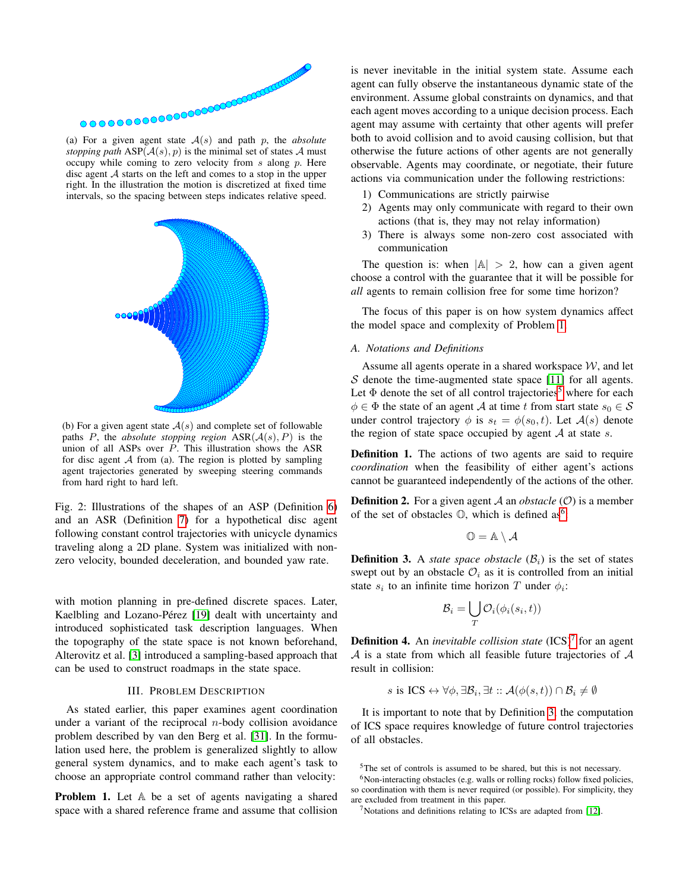<span id="page-2-5"></span>

*stopping path*  $ASP(\mathcal{A}(s), p)$  is the minimal set of states  $\mathcal{A}$  must occupy while coming to zero velocity from  $s$  along  $p$ . Here disc agent A starts on the left and comes to a stop in the upper right. In the illustration the motion is discretized at fixed time intervals, so the spacing between steps indicates relative speed.



(b) For a given agent state  $A(s)$  and complete set of followable paths P, the *absolute stopping region*  $ASR(A(s), P)$  is the union of all ASPs over P. This illustration shows the ASR for disc agent  $A$  from (a). The region is plotted by sampling agent trajectories generated by sweeping steering commands from hard right to hard left.

Fig. 2: Illustrations of the shapes of an ASP (Definition [6\)](#page-3-0) and an ASR (Definition [7\)](#page-3-1) for a hypothetical disc agent following constant control trajectories with unicycle dynamics traveling along a 2D plane. System was initialized with nonzero velocity, bounded deceleration, and bounded yaw rate.

with motion planning in pre-defined discrete spaces. Later, Kaelbling and Lozano-Pérez [\[19\]](#page-9-10) dealt with uncertainty and introduced sophisticated task description languages. When the topography of the state space is not known beforehand, Alterovitz et al. [\[3\]](#page-8-11) introduced a sampling-based approach that can be used to construct roadmaps in the state space.

## III. PROBLEM DESCRIPTION

As stated earlier, this paper examines agent coordination under a variant of the reciprocal  $n$ -body collision avoidance problem described by van den Berg et al. [\[31\]](#page-9-3). In the formulation used here, the problem is generalized slightly to allow general system dynamics, and to make each agent's task to choose an appropriate control command rather than velocity:

<span id="page-2-0"></span>**Problem 1.** Let  $\mathbb A$  be a set of agents navigating a shared space with a shared reference frame and assume that collision

is never inevitable in the initial system state. Assume each agent can fully observe the instantaneous dynamic state of the environment. Assume global constraints on dynamics, and that each agent moves according to a unique decision process. Each agent may assume with certainty that other agents will prefer both to avoid collision and to avoid causing collision, but that otherwise the future actions of other agents are not generally observable. Agents may coordinate, or negotiate, their future actions via communication under the following restrictions:

- 1) Communications are strictly pairwise
- 2) Agents may only communicate with regard to their own actions (that is, they may not relay information)
- 3) There is always some non-zero cost associated with communication

The question is: when  $|A| > 2$ , how can a given agent choose a control with the guarantee that it will be possible for *all* agents to remain collision free for some time horizon?

The focus of this paper is on how system dynamics affect the model space and complexity of Problem [1.](#page-2-0)

## *A. Notations and Definitions*

Assume all agents operate in a shared workspace  $W$ , and let S denote the time-augmented state space  $[11]$  for all agents. Let  $\Phi$  denote the set of all control trajectories<sup>[5](#page-2-1)</sup> where for each  $\phi \in \Phi$  the state of an agent A at time t from start state  $s_0 \in \mathcal{S}$ under control trajectory  $\phi$  is  $s_t = \phi(s_0, t)$ . Let  $\mathcal{A}(s)$  denote the region of state space occupied by agent  $A$  at state  $s$ .

<span id="page-2-6"></span>Definition 1. The actions of two agents are said to require *coordination* when the feasibility of either agent's actions cannot be guaranteed independently of the actions of the other.

**Definition 2.** For a given agent A an *obstacle*  $(O)$  is a member of the set of obstacles  $\mathbb{O}$ , which is defined as<sup>[6](#page-2-2)</sup>:

$$
\mathbb{O}=\mathbb{A}\setminus\mathcal{A}
$$

<span id="page-2-4"></span>**Definition 3.** A *state space obstacle*  $(\mathcal{B}_i)$  is the set of states swept out by an obstacle  $\mathcal{O}_i$  as it is controlled from an initial state  $s_i$  to an infinite time horizon T under  $\phi_i$ :

$$
\mathcal{B}_i = \bigcup_T \mathcal{O}_i(\phi_i(s_i, t))
$$

<span id="page-2-7"></span>**Definition 4.** An *inevitable collision state* (ICS)<sup>[7](#page-2-3)</sup> for an agent  $A$  is a state from which all feasible future trajectories of  $A$ result in collision:

s is 
$$
ICS \leftrightarrow \forall \phi, \exists \mathcal{B}_i, \exists t :: \mathcal{A}(\phi(s,t)) \cap \mathcal{B}_i \neq \emptyset
$$

It is important to note that by Definition [3,](#page-2-4) the computation of ICS space requires knowledge of future control trajectories of all obstacles.

<span id="page-2-8"></span><span id="page-2-2"></span><span id="page-2-1"></span><sup>5</sup>The set of controls is assumed to be shared, but this is not necessary.

<sup>&</sup>lt;sup>6</sup>Non-interacting obstacles (e.g. walls or rolling rocks) follow fixed policies, so coordination with them is never required (or possible). For simplicity, they are excluded from treatment in this paper.

<span id="page-2-3"></span><sup>7</sup>Notations and definitions relating to ICSs are adapted from [\[12\]](#page-8-7).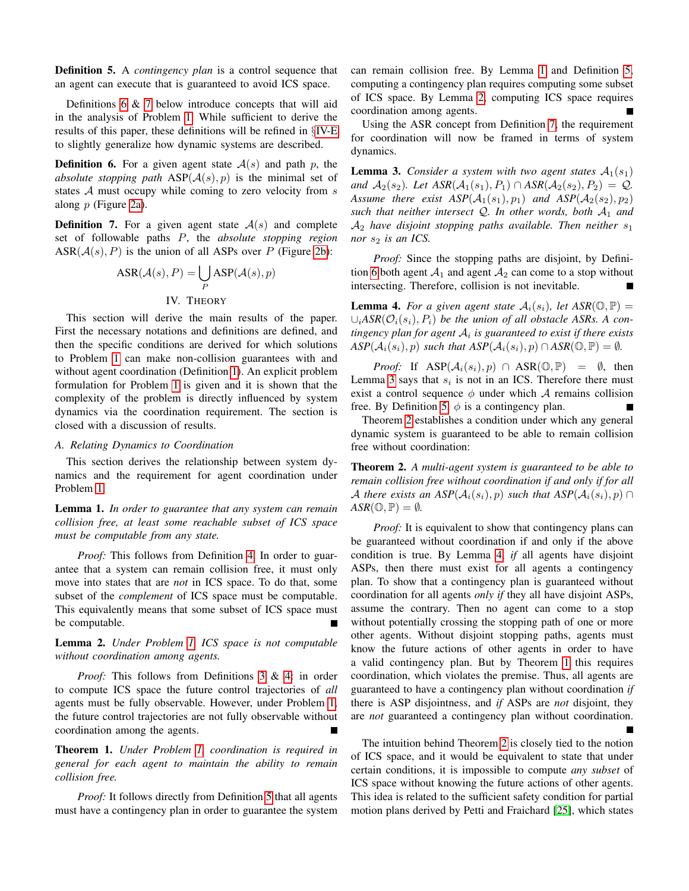Definition 5. A *contingency plan* is a control sequence that an agent can execute that is guaranteed to avoid ICS space.

Definitions [6](#page-3-0) & [7](#page-3-1) below introduce concepts that will aid in the analysis of Problem [1.](#page-2-0) While sufficient to derive the results of this paper, these definitions will be refined in §[IV-E](#page-7-0) to slightly generalize how dynamic systems are described.

<span id="page-3-0"></span>**Definition 6.** For a given agent state  $A(s)$  and path p, the *absolute stopping path*  $ASP(A(s), p)$  is the minimal set of states  $A$  must occupy while coming to zero velocity from  $s$ along p (Figure [2a\)](#page-2-5).

<span id="page-3-1"></span>**Definition 7.** For a given agent state  $A(s)$  and complete set of followable paths P, the *absolute stopping region*  $ASR(\mathcal{A}(s), P)$  is the union of all ASPs over P (Figure [2b\)](#page-2-5):

$$
ASR(\mathcal{A}(s), P) = \bigcup_{P} ASP(\mathcal{A}(s), p)
$$
  
IV. THEORY

This section will derive the main results of the paper. First the necessary notations and definitions are defined, and then the specific conditions are derived for which solutions to Problem [1](#page-2-0) can make non-collision guarantees with and without agent coordination (Definition [1\)](#page-2-6). An explicit problem formulation for Problem [1](#page-2-0) is given and it is shown that the complexity of the problem is directly influenced by system dynamics via the coordination requirement. The section is closed with a discussion of results.

## *A. Relating Dynamics to Coordination*

This section derives the relationship between system dynamics and the requirement for agent coordination under Problem [1.](#page-2-0)

<span id="page-3-2"></span>Lemma 1. *In order to guarantee that any system can remain collision free, at least some reachable subset of ICS space must be computable from any state.*

*Proof:* This follows from Definition [4.](#page-2-7) In order to guarantee that a system can remain collision free, it must only move into states that are *not* in ICS space. To do that, some subset of the *complement* of ICS space must be computable. This equivalently means that some subset of ICS space must be computable.

# <span id="page-3-3"></span>Lemma 2. *Under Problem [1,](#page-2-0) ICS space is not computable without coordination among agents.*

*Proof:* This follows from Definitions [3](#page-2-4) & [4:](#page-2-7) in order to compute ICS space the future control trajectories of *all* agents must be fully observable. However, under Problem [1,](#page-2-0) the future control trajectories are not fully observable without coordination among the agents.

<span id="page-3-7"></span>Theorem 1. *Under Problem [1,](#page-2-0) coordination is required in general for each agent to maintain the ability to remain collision free.*

*Proof:* It follows directly from Definition [5](#page-2-8) that all agents must have a contingency plan in order to guarantee the system can remain collision free. By Lemma [1](#page-3-2) and Definition [5,](#page-2-8) computing a contingency plan requires computing some subset of ICS space. By Lemma [2,](#page-3-3) computing ICS space requires coordination among agents.

Using the ASR concept from Definition [7,](#page-3-1) the requirement for coordination will now be framed in terms of system dynamics.

<span id="page-3-4"></span>**Lemma 3.** *Consider a system with two agent states*  $A_1(s_1)$ *and*  $A_2(s_2)$ *. Let*  $ASR(A_1(s_1), P_1) \cap ASR(A_2(s_2), P_2) = Q$ *. Assume there exist*  $ASP(A_1(s_1), p_1)$  *and*  $ASP(A_2(s_2), p_2)$ *such that neither intersect* Q*. In other words, both* A<sup>1</sup> *and* A<sup>2</sup> *have disjoint stopping paths available. Then neither* s<sup>1</sup> *nor*  $s_2$  *is an ICS.* 

*Proof:* Since the stopping paths are disjoint, by Defini-tion [6](#page-3-0) both agent  $A_1$  and agent  $A_2$  can come to a stop without intersecting. Therefore, collision is not inevitable.

<span id="page-3-6"></span>**Lemma 4.** For a given agent state  $A_i(s_i)$ , let  $ASR(\mathbb{O}, \mathbb{P}) =$  $\cup_i ASR(\mathcal{O}_i(s_i), P_i)$  *be the union of all obstacle ASRs. A contingency plan for agent* A<sup>i</sup> *is guaranteed to exist if there exists*  $ASP(\mathcal{A}_i(s_i), p)$  *such that*  $ASP(\mathcal{A}_i(s_i), p) \cap ASR(\mathbb{O}, \mathbb{P}) = \emptyset$ *.* 

*Proof:* If  $\text{ASP}(\mathcal{A}_i(s_i), p) \cap \text{ASR}(\mathbb{O}, \mathbb{P}) = \emptyset$ , then Lemma [3](#page-3-4) says that  $s_i$  is not in an ICS. Therefore there must exist a control sequence  $\phi$  under which A remains collision free. By Definition [5,](#page-2-8)  $\phi$  is a contingency plan.

Theorem [2](#page-3-5) establishes a condition under which any general dynamic system is guaranteed to be able to remain collision free without coordination:

<span id="page-3-5"></span>Theorem 2. *A multi-agent system is guaranteed to be able to remain collision free without coordination if and only if for all* A *there exists an*  $ASP(\mathcal{A}_i(s_i), p)$  *such that*  $ASP(\mathcal{A}_i(s_i), p)$  $ASR(\mathbb{O}, \mathbb{P}) = \emptyset$ *.* 

*Proof:* It is equivalent to show that contingency plans can be guaranteed without coordination if and only if the above condition is true. By Lemma [4,](#page-3-6) *if* all agents have disjoint ASPs, then there must exist for all agents a contingency plan. To show that a contingency plan is guaranteed without coordination for all agents *only if* they all have disjoint ASPs, assume the contrary. Then no agent can come to a stop without potentially crossing the stopping path of one or more other agents. Without disjoint stopping paths, agents must know the future actions of other agents in order to have a valid contingency plan. But by Theorem [1](#page-3-7) this requires coordination, which violates the premise. Thus, all agents are guaranteed to have a contingency plan without coordination *if* there is ASP disjointness, and *if* ASPs are *not* disjoint, they are *not* guaranteed a contingency plan without coordination.

The intuition behind Theorem [2](#page-3-5) is closely tied to the notion of ICS space, and it would be equivalent to state that under certain conditions, it is impossible to compute *any subset* of ICS space without knowing the future actions of other agents. This idea is related to the sufficient safety condition for partial motion plans derived by Petti and Fraichard [\[25\]](#page-9-11), which states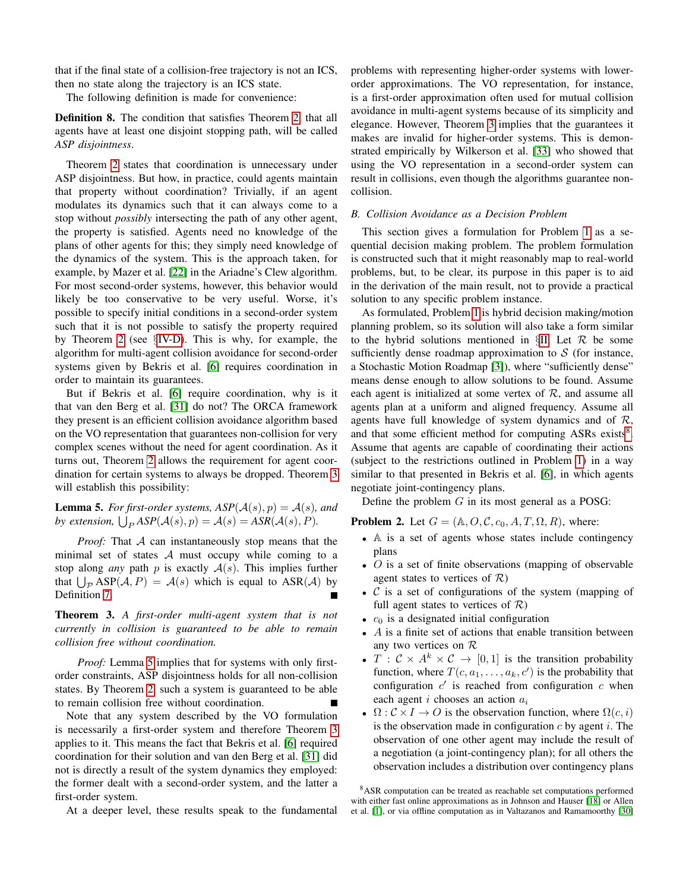that if the final state of a collision-free trajectory is not an ICS, then no state along the trajectory is an ICS state.

The following definition is made for convenience:

Definition 8. The condition that satisfies Theorem [2,](#page-3-5) that all agents have at least one disjoint stopping path, will be called *ASP disjointness*.

Theorem [2](#page-3-5) states that coordination is unnecessary under ASP disjointness. But how, in practice, could agents maintain that property without coordination? Trivially, if an agent modulates its dynamics such that it can always come to a stop without *possibly* intersecting the path of any other agent, the property is satisfied. Agents need no knowledge of the plans of other agents for this; they simply need knowledge of the dynamics of the system. This is the approach taken, for example, by Mazer et al. [\[22\]](#page-9-12) in the Ariadne's Clew algorithm. For most second-order systems, however, this behavior would likely be too conservative to be very useful. Worse, it's possible to specify initial conditions in a second-order system such that it is not possible to satisfy the property required by Theorem [2](#page-3-5) (see §[IV-D\)](#page-5-0). This is why, for example, the algorithm for multi-agent collision avoidance for second-order systems given by Bekris et al. [\[6\]](#page-8-10) requires coordination in order to maintain its guarantees.

But if Bekris et al. [\[6\]](#page-8-10) require coordination, why is it that van den Berg et al. [\[31\]](#page-9-3) do not? The ORCA framework they present is an efficient collision avoidance algorithm based on the VO representation that guarantees non-collision for very complex scenes without the need for agent coordination. As it turns out, Theorem [2](#page-3-5) allows the requirement for agent coordination for certain systems to always be dropped. Theorem [3](#page-4-0) will establish this possibility:

<span id="page-4-1"></span>**Lemma 5.** *For first-order systems,*  $ASP(\mathcal{A}(s), p) = \mathcal{A}(s)$ *, and* by extension,  $\bigcup_{P} \text{ASP}(\mathcal{A}(s), p) = \mathcal{A}(s) = \text{ASR}(\mathcal{A}(s), P)$ *.* 

*Proof:* That A can instantaneously stop means that the minimal set of states  $A$  must occupy while coming to a stop along *any* path  $p$  is exactly  $A(s)$ . This implies further that  $\bigcup_{\mathcal{P}} \text{ASP}(\mathcal{A}, P) = \mathcal{A}(s)$  which is equal to  $\text{ASR}(\mathcal{A})$  by Definition [7.](#page-3-1)

<span id="page-4-0"></span>Theorem 3. *A first-order multi-agent system that is not currently in collision is guaranteed to be able to remain collision free without coordination.*

*Proof:* Lemma [5](#page-4-1) implies that for systems with only firstorder constraints, ASP disjointness holds for all non-collision states. By Theorem [2,](#page-3-5) such a system is guaranteed to be able to remain collision free without coordination.

Note that any system described by the VO formulation is necessarily a first-order system and therefore Theorem [3](#page-4-0) applies to it. This means the fact that Bekris et al. [\[6\]](#page-8-10) required coordination for their solution and van den Berg et al. [\[31\]](#page-9-3) did not is directly a result of the system dynamics they employed: the former dealt with a second-order system, and the latter a first-order system.

At a deeper level, these results speak to the fundamental

problems with representing higher-order systems with lowerorder approximations. The VO representation, for instance, is a first-order approximation often used for mutual collision avoidance in multi-agent systems because of its simplicity and elegance. However, Theorem [3](#page-4-0) implies that the guarantees it makes are invalid for higher-order systems. This is demonstrated empirically by Wilkerson et al. [\[33\]](#page-10-3) who showed that using the VO representation in a second-order system can result in collisions, even though the algorithms guarantee noncollision.

#### *B. Collision Avoidance as a Decision Problem*

This section gives a formulation for Problem [1](#page-2-0) as a sequential decision making problem. The problem formulation is constructed such that it might reasonably map to real-world problems, but, to be clear, its purpose in this paper is to aid in the derivation of the main result, not to provide a practical solution to any specific problem instance.

As formulated, Problem [1](#page-2-0) is hybrid decision making/motion planning problem, so its solution will also take a form similar to the hybrid solutions mentioned in  $\S$ [II.](#page-1-3) Let  $R$  be some sufficiently dense roadmap approximation to  $S$  (for instance, a Stochastic Motion Roadmap [\[3\]](#page-8-11)), where "sufficiently dense" means dense enough to allow solutions to be found. Assume each agent is initialized at some vertex of  $R$ , and assume all agents plan at a uniform and aligned frequency. Assume all agents have full knowledge of system dynamics and of  $\mathcal{R}$ , and that some efficient method for computing ASRs exists<sup>[8](#page-4-2)</sup>. Assume that agents are capable of coordinating their actions (subject to the restrictions outlined in Problem [1\)](#page-2-0) in a way similar to that presented in Bekris et al. [\[6\]](#page-8-10), in which agents negotiate joint-contingency plans.

Define the problem  $G$  in its most general as a POSG:

<span id="page-4-3"></span>**Problem 2.** Let  $G = (\mathbb{A}, O, C, c_0, A, T, \Omega, R)$ , where:

- A is a set of agents whose states include contingency plans
- $\overline{O}$  is a set of finite observations (mapping of observable agent states to vertices of  $\mathcal{R}$ )
- $C$  is a set of configurations of the system (mapping of full agent states to vertices of  $\mathcal{R}$ )
- $c_0$  is a designated initial configuration
- $\bullet$  A is a finite set of actions that enable transition between any two vertices on R
- $T : \mathcal{C} \times A^k \times \mathcal{C} \rightarrow [0, 1]$  is the transition probability function, where  $T(c, a_1, \ldots, a_k, c')$  is the probability that configuration  $c'$  is reached from configuration  $c$  when each agent  $i$  chooses an action  $a_i$
- $\Omega: \mathcal{C} \times I \to O$  is the observation function, where  $\Omega(c, i)$ is the observation made in configuration  $c$  by agent  $i$ . The observation of one other agent may include the result of a negotiation (a joint-contingency plan); for all others the observation includes a distribution over contingency plans

<span id="page-4-2"></span><sup>8</sup>ASR computation can be treated as reachable set computations performed with either fast online approximations as in Johnson and Hauser [\[18\]](#page-9-13) or Allen et al. [\[1\]](#page-7-1), or via offline computation as in Valtazanos and Ramamoorthy [\[30\]](#page-9-14)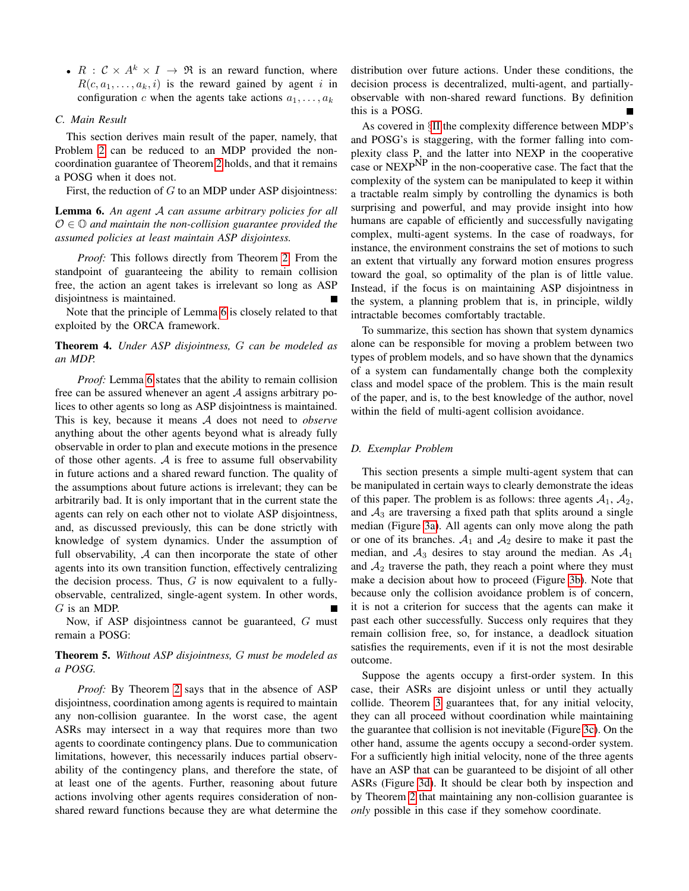•  $R : \mathcal{C} \times A^k \times I \rightarrow \Re$  is an reward function, where  $R(c, a_1, \ldots, a_k, i)$  is the reward gained by agent i in configuration c when the agents take actions  $a_1, \ldots, a_k$ 

## *C. Main Result*

This section derives main result of the paper, namely, that Problem [2](#page-4-3) can be reduced to an MDP provided the noncoordination guarantee of Theorem [2](#page-3-5) holds, and that it remains a POSG when it does not.

First, the reduction of  $G$  to an MDP under ASP disjointness:

<span id="page-5-1"></span>Lemma 6. *An agent* A *can assume arbitrary policies for all* O ∈ O *and maintain the non-collision guarantee provided the assumed policies at least maintain ASP disjointess.*

*Proof:* This follows directly from Theorem [2.](#page-3-5) From the standpoint of guaranteeing the ability to remain collision free, the action an agent takes is irrelevant so long as ASP disjointness is maintained.

Note that the principle of Lemma [6](#page-5-1) is closely related to that exploited by the ORCA framework.

## Theorem 4. *Under ASP disjointness,* G *can be modeled as an MDP.*

*Proof:* Lemma [6](#page-5-1) states that the ability to remain collision free can be assured whenever an agent  $A$  assigns arbitrary polices to other agents so long as ASP disjointness is maintained. This is key, because it means A does not need to *observe* anything about the other agents beyond what is already fully observable in order to plan and execute motions in the presence of those other agents.  $A$  is free to assume full observability in future actions and a shared reward function. The quality of the assumptions about future actions is irrelevant; they can be arbitrarily bad. It is only important that in the current state the agents can rely on each other not to violate ASP disjointness, and, as discussed previously, this can be done strictly with knowledge of system dynamics. Under the assumption of full observability,  $A$  can then incorporate the state of other agents into its own transition function, effectively centralizing the decision process. Thus,  $G$  is now equivalent to a fullyobservable, centralized, single-agent system. In other words, G is an MDP.

Now, if ASP disjointness cannot be guaranteed, G must remain a POSG:

# Theorem 5. *Without ASP disjointness,* G *must be modeled as a POSG.*

*Proof:* By Theorem [2](#page-3-5) says that in the absence of ASP disjointness, coordination among agents is required to maintain any non-collision guarantee. In the worst case, the agent ASRs may intersect in a way that requires more than two agents to coordinate contingency plans. Due to communication limitations, however, this necessarily induces partial observability of the contingency plans, and therefore the state, of at least one of the agents. Further, reasoning about future actions involving other agents requires consideration of nonshared reward functions because they are what determine the distribution over future actions. Under these conditions, the decision process is decentralized, multi-agent, and partiallyobservable with non-shared reward functions. By definition this is a POSG.

As covered in §[II](#page-1-3) the complexity difference between MDP's and POSG's is staggering, with the former falling into complexity class P, and the latter into NEXP in the cooperative case or NEXP<sup>NP</sup> in the non-cooperative case. The fact that the complexity of the system can be manipulated to keep it within a tractable realm simply by controlling the dynamics is both surprising and powerful, and may provide insight into how humans are capable of efficiently and successfully navigating complex, multi-agent systems. In the case of roadways, for instance, the environment constrains the set of motions to such an extent that virtually any forward motion ensures progress toward the goal, so optimality of the plan is of little value. Instead, if the focus is on maintaining ASP disjointness in the system, a planning problem that is, in principle, wildly intractable becomes comfortably tractable.

To summarize, this section has shown that system dynamics alone can be responsible for moving a problem between two types of problem models, and so have shown that the dynamics of a system can fundamentally change both the complexity class and model space of the problem. This is the main result of the paper, and is, to the best knowledge of the author, novel within the field of multi-agent collision avoidance.

## <span id="page-5-0"></span>*D. Exemplar Problem*

This section presents a simple multi-agent system that can be manipulated in certain ways to clearly demonstrate the ideas of this paper. The problem is as follows: three agents  $A_1$ ,  $A_2$ , and  $A_3$  are traversing a fixed path that splits around a single median (Figure [3a\)](#page-6-0). All agents can only move along the path or one of its branches.  $A_1$  and  $A_2$  desire to make it past the median, and  $A_3$  desires to stay around the median. As  $A_1$ and  $A_2$  traverse the path, they reach a point where they must make a decision about how to proceed (Figure [3b\)](#page-6-0). Note that because only the collision avoidance problem is of concern, it is not a criterion for success that the agents can make it past each other successfully. Success only requires that they remain collision free, so, for instance, a deadlock situation satisfies the requirements, even if it is not the most desirable outcome.

Suppose the agents occupy a first-order system. In this case, their ASRs are disjoint unless or until they actually collide. Theorem [3](#page-4-0) guarantees that, for any initial velocity, they can all proceed without coordination while maintaining the guarantee that collision is not inevitable (Figure [3c\)](#page-6-0). On the other hand, assume the agents occupy a second-order system. For a sufficiently high initial velocity, none of the three agents have an ASP that can be guaranteed to be disjoint of all other ASRs (Figure [3d\)](#page-6-0). It should be clear both by inspection and by Theorem [2](#page-3-5) that maintaining any non-collision guarantee is *only* possible in this case if they somehow coordinate.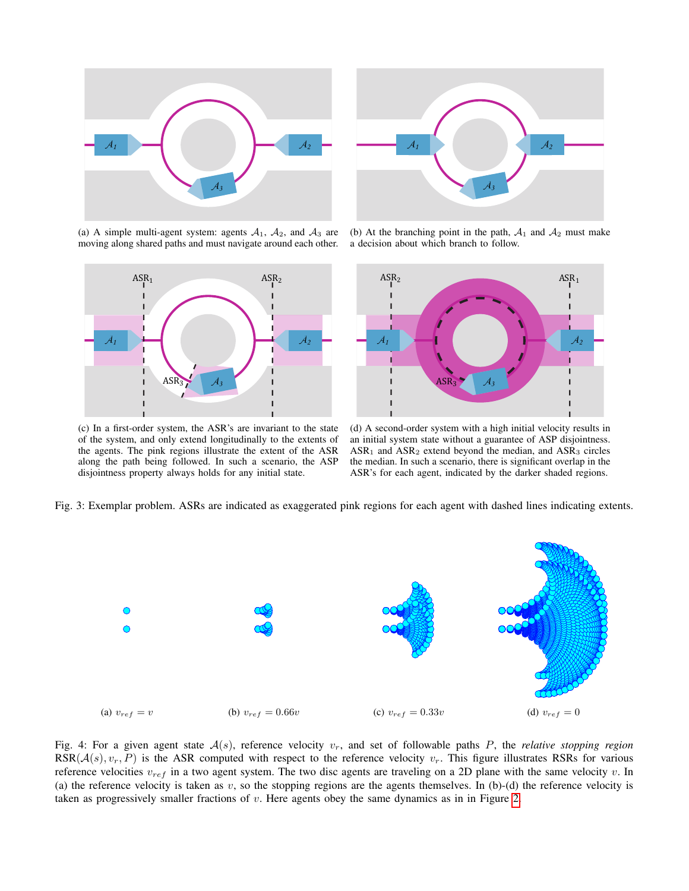<span id="page-6-0"></span>



(a) A simple multi-agent system: agents  $A_1$ ,  $A_2$ , and  $A_3$  are moving along shared paths and must navigate around each other.



(b) At the branching point in the path,  $A_1$  and  $A_2$  must make a decision about which branch to follow.



(c) In a first-order system, the ASR's are invariant to the state of the system, and only extend longitudinally to the extents of the agents. The pink regions illustrate the extent of the ASR along the path being followed. In such a scenario, the ASP disjointness property always holds for any initial state.

(d) A second-order system with a high initial velocity results in an initial system state without a guarantee of ASP disjointness.  $ASR<sub>1</sub>$  and  $ASR<sub>2</sub>$  extend beyond the median, and  $ASR<sub>3</sub>$  circles the median. In such a scenario, there is significant overlap in the ASR's for each agent, indicated by the darker shaded regions.

Fig. 3: Exemplar problem. ASRs are indicated as exaggerated pink regions for each agent with dashed lines indicating extents.

<span id="page-6-1"></span>

Fig. 4: For a given agent state  $A(s)$ , reference velocity  $v_r$ , and set of followable paths P, the *relative stopping region*  $RSR(\mathcal{A}(s), v_r, P)$  is the ASR computed with respect to the reference velocity  $v_r$ . This figure illustrates RSRs for various reference velocities  $v_{ref}$  in a two agent system. The two disc agents are traveling on a 2D plane with the same velocity v. In (a) the reference velocity is taken as  $v$ , so the stopping regions are the agents themselves. In (b)-(d) the reference velocity is taken as progressively smaller fractions of  $v$ . Here agents obey the same dynamics as in in Figure [2.](#page-2-5)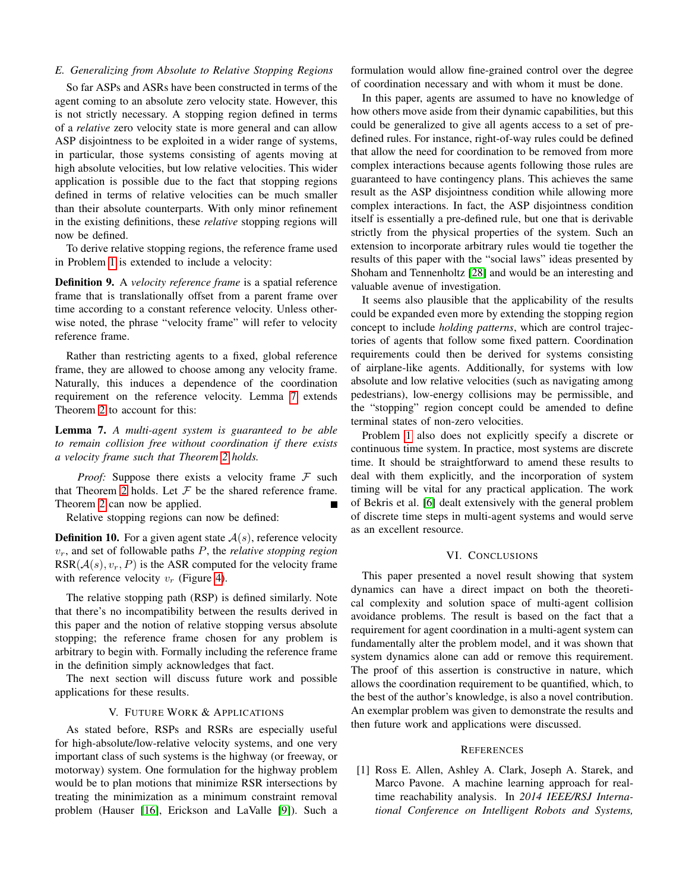## <span id="page-7-0"></span>*E. Generalizing from Absolute to Relative Stopping Regions*

So far ASPs and ASRs have been constructed in terms of the agent coming to an absolute zero velocity state. However, this is not strictly necessary. A stopping region defined in terms of a *relative* zero velocity state is more general and can allow ASP disjointness to be exploited in a wider range of systems, in particular, those systems consisting of agents moving at high absolute velocities, but low relative velocities. This wider application is possible due to the fact that stopping regions defined in terms of relative velocities can be much smaller than their absolute counterparts. With only minor refinement in the existing definitions, these *relative* stopping regions will now be defined.

To derive relative stopping regions, the reference frame used in Problem [1](#page-2-0) is extended to include a velocity:

Definition 9. A *velocity reference frame* is a spatial reference frame that is translationally offset from a parent frame over time according to a constant reference velocity. Unless otherwise noted, the phrase "velocity frame" will refer to velocity reference frame.

Rather than restricting agents to a fixed, global reference frame, they are allowed to choose among any velocity frame. Naturally, this induces a dependence of the coordination requirement on the reference velocity. Lemma [7](#page-7-2) extends Theorem [2](#page-3-5) to account for this:

<span id="page-7-2"></span>Lemma 7. *A multi-agent system is guaranteed to be able to remain collision free without coordination if there exists a velocity frame such that Theorem [2](#page-3-5) holds.*

*Proof:* Suppose there exists a velocity frame  $F$  such that Theorem [2](#page-3-5) holds. Let  $F$  be the shared reference frame. Theorem [2](#page-3-5) can now be applied.

Relative stopping regions can now be defined:

**Definition 10.** For a given agent state  $A(s)$ , reference velocity  $v_r$ , and set of followable paths  $P$ , the *relative stopping region*  $RSR(\mathcal{A}(s), v_r, P)$  is the ASR computed for the velocity frame with reference velocity  $v_r$  (Figure [4\)](#page-6-1).

The relative stopping path (RSP) is defined similarly. Note that there's no incompatibility between the results derived in this paper and the notion of relative stopping versus absolute stopping; the reference frame chosen for any problem is arbitrary to begin with. Formally including the reference frame in the definition simply acknowledges that fact.

The next section will discuss future work and possible applications for these results.

### V. FUTURE WORK & APPLICATIONS

As stated before, RSPs and RSRs are especially useful for high-absolute/low-relative velocity systems, and one very important class of such systems is the highway (or freeway, or motorway) system. One formulation for the highway problem would be to plan motions that minimize RSR intersections by treating the minimization as a minimum constraint removal problem (Hauser [\[16\]](#page-8-13), Erickson and LaValle [\[9\]](#page-8-14)). Such a

formulation would allow fine-grained control over the degree of coordination necessary and with whom it must be done.

In this paper, agents are assumed to have no knowledge of how others move aside from their dynamic capabilities, but this could be generalized to give all agents access to a set of predefined rules. For instance, right-of-way rules could be defined that allow the need for coordination to be removed from more complex interactions because agents following those rules are guaranteed to have contingency plans. This achieves the same result as the ASP disjointness condition while allowing more complex interactions. In fact, the ASP disjointness condition itself is essentially a pre-defined rule, but one that is derivable strictly from the physical properties of the system. Such an extension to incorporate arbitrary rules would tie together the results of this paper with the "social laws" ideas presented by Shoham and Tennenholtz [\[28\]](#page-9-8) and would be an interesting and valuable avenue of investigation.

It seems also plausible that the applicability of the results could be expanded even more by extending the stopping region concept to include *holding patterns*, which are control trajectories of agents that follow some fixed pattern. Coordination requirements could then be derived for systems consisting of airplane-like agents. Additionally, for systems with low absolute and low relative velocities (such as navigating among pedestrians), low-energy collisions may be permissible, and the "stopping" region concept could be amended to define terminal states of non-zero velocities.

Problem [1](#page-2-0) also does not explicitly specify a discrete or continuous time system. In practice, most systems are discrete time. It should be straightforward to amend these results to deal with them explicitly, and the incorporation of system timing will be vital for any practical application. The work of Bekris et al. [\[6\]](#page-8-10) dealt extensively with the general problem of discrete time steps in multi-agent systems and would serve as an excellent resource.

## VI. CONCLUSIONS

This paper presented a novel result showing that system dynamics can have a direct impact on both the theoretical complexity and solution space of multi-agent collision avoidance problems. The result is based on the fact that a requirement for agent coordination in a multi-agent system can fundamentally alter the problem model, and it was shown that system dynamics alone can add or remove this requirement. The proof of this assertion is constructive in nature, which allows the coordination requirement to be quantified, which, to the best of the author's knowledge, is also a novel contribution. An exemplar problem was given to demonstrate the results and then future work and applications were discussed.

#### **REFERENCES**

<span id="page-7-1"></span>[1] Ross E. Allen, Ashley A. Clark, Joseph A. Starek, and Marco Pavone. A machine learning approach for realtime reachability analysis. In *2014 IEEE/RSJ International Conference on Intelligent Robots and Systems,*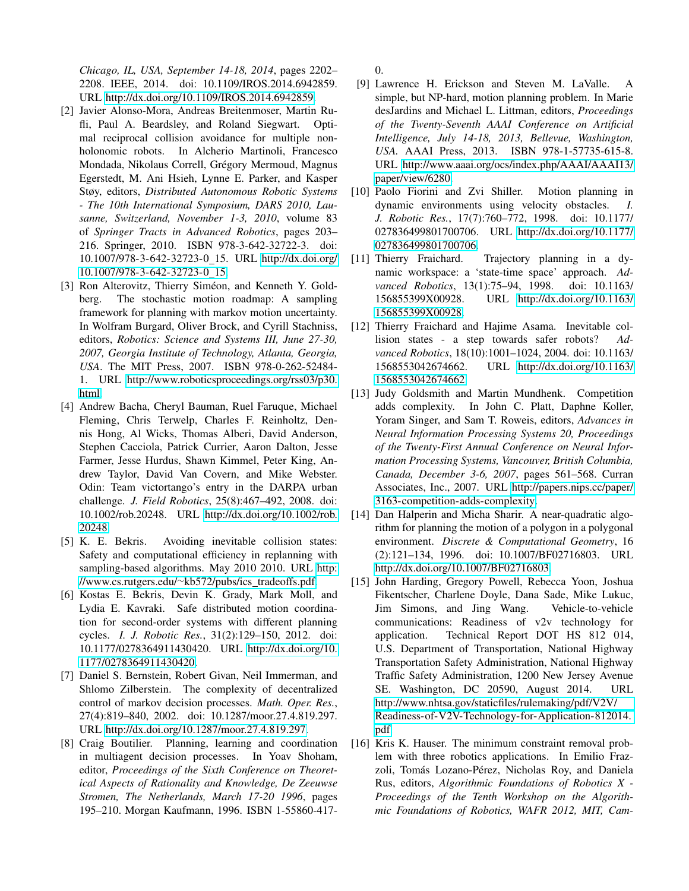*Chicago, IL, USA, September 14-18, 2014*, pages 2202– 2208. IEEE, 2014. doi: 10.1109/IROS.2014.6942859. URL [http://dx.doi.org/10.1109/IROS.2014.6942859.](http://dx.doi.org/10.1109/IROS.2014.6942859)

- <span id="page-8-9"></span>[2] Javier Alonso-Mora, Andreas Breitenmoser, Martin Rufli, Paul A. Beardsley, and Roland Siegwart. Optimal reciprocal collision avoidance for multiple nonholonomic robots. In Alcherio Martinoli, Francesco Mondada, Nikolaus Correll, Grégory Mermoud, Magnus Egerstedt, M. Ani Hsieh, Lynne E. Parker, and Kasper Støy, editors, *Distributed Autonomous Robotic Systems - The 10th International Symposium, DARS 2010, Lausanne, Switzerland, November 1-3, 2010*, volume 83 of *Springer Tracts in Advanced Robotics*, pages 203– 216. Springer, 2010. ISBN 978-3-642-32722-3. doi: 10.1007/978-3-642-32723-0 15. URL [http://dx.doi.org/](http://dx.doi.org/10.1007/978-3-642-32723-0_15) [10.1007/978-3-642-32723-0](http://dx.doi.org/10.1007/978-3-642-32723-0_15) 15.
- <span id="page-8-11"></span>[3] Ron Alterovitz, Thierry Siméon, and Kenneth Y. Goldberg. The stochastic motion roadmap: A sampling framework for planning with markov motion uncertainty. In Wolfram Burgard, Oliver Brock, and Cyrill Stachniss, editors, *Robotics: Science and Systems III, June 27-30, 2007, Georgia Institute of Technology, Atlanta, Georgia, USA*. The MIT Press, 2007. ISBN 978-0-262-52484- 1. URL [http://www.roboticsproceedings.org/rss03/p30.](http://www.roboticsproceedings.org/rss03/p30.html) [html.](http://www.roboticsproceedings.org/rss03/p30.html)
- <span id="page-8-0"></span>[4] Andrew Bacha, Cheryl Bauman, Ruel Faruque, Michael Fleming, Chris Terwelp, Charles F. Reinholtz, Dennis Hong, Al Wicks, Thomas Alberi, David Anderson, Stephen Cacciola, Patrick Currier, Aaron Dalton, Jesse Farmer, Jesse Hurdus, Shawn Kimmel, Peter King, Andrew Taylor, David Van Covern, and Mike Webster. Odin: Team victortango's entry in the DARPA urban challenge. *J. Field Robotics*, 25(8):467–492, 2008. doi: 10.1002/rob.20248. URL [http://dx.doi.org/10.1002/rob.](http://dx.doi.org/10.1002/rob.20248) [20248.](http://dx.doi.org/10.1002/rob.20248)
- <span id="page-8-8"></span>[5] K. E. Bekris. Avoiding inevitable collision states: Safety and computational efficiency in replanning with sampling-based algorithms. May 2010 2010. URL [http:](http://www.cs.rutgers.edu/~kb572/pubs/ics_tradeoffs.pdf) [//www.cs.rutgers.edu/](http://www.cs.rutgers.edu/~kb572/pubs/ics_tradeoffs.pdf)∼kb572/pubs/ics\_tradeoffs.pdf.
- <span id="page-8-10"></span>[6] Kostas E. Bekris, Devin K. Grady, Mark Moll, and Lydia E. Kavraki. Safe distributed motion coordination for second-order systems with different planning cycles. *I. J. Robotic Res.*, 31(2):129–150, 2012. doi: 10.1177/0278364911430420. URL [http://dx.doi.org/10.](http://dx.doi.org/10.1177/0278364911430420) [1177/0278364911430420.](http://dx.doi.org/10.1177/0278364911430420)
- <span id="page-8-4"></span>[7] Daniel S. Bernstein, Robert Givan, Neil Immerman, and Shlomo Zilberstein. The complexity of decentralized control of markov decision processes. *Math. Oper. Res.*, 27(4):819–840, 2002. doi: 10.1287/moor.27.4.819.297. URL [http://dx.doi.org/10.1287/moor.27.4.819.297.](http://dx.doi.org/10.1287/moor.27.4.819.297)
- <span id="page-8-3"></span>[8] Craig Boutilier. Planning, learning and coordination in multiagent decision processes. In Yoav Shoham, editor, *Proceedings of the Sixth Conference on Theoretical Aspects of Rationality and Knowledge, De Zeeuwse Stromen, The Netherlands, March 17-20 1996*, pages 195–210. Morgan Kaufmann, 1996. ISBN 1-55860-417-

0.

- <span id="page-8-14"></span>[9] Lawrence H. Erickson and Steven M. LaValle. A simple, but NP-hard, motion planning problem. In Marie desJardins and Michael L. Littman, editors, *Proceedings of the Twenty-Seventh AAAI Conference on Artificial Intelligence, July 14-18, 2013, Bellevue, Washington, USA.* AAAI Press, 2013. ISBN 978-1-57735-615-8. URL [http://www.aaai.org/ocs/index.php/AAAI/AAAI13/](http://www.aaai.org/ocs/index.php/AAAI/AAAI13/paper/view/6280) [paper/view/6280.](http://www.aaai.org/ocs/index.php/AAAI/AAAI13/paper/view/6280)
- <span id="page-8-6"></span>[10] Paolo Fiorini and Zvi Shiller. Motion planning in dynamic environments using velocity obstacles. *I. J. Robotic Res.*, 17(7):760–772, 1998. doi: 10.1177/ 027836499801700706. URL [http://dx.doi.org/10.1177/](http://dx.doi.org/10.1177/027836499801700706) [027836499801700706.](http://dx.doi.org/10.1177/027836499801700706)
- <span id="page-8-12"></span>[11] Thierry Fraichard. Trajectory planning in a dynamic workspace: a 'state-time space' approach. *Advanced Robotics*, 13(1):75–94, 1998. doi: 10.1163/ 156855399X00928. URL [http://dx.doi.org/10.1163/](http://dx.doi.org/10.1163/156855399X00928) [156855399X00928.](http://dx.doi.org/10.1163/156855399X00928)
- <span id="page-8-7"></span>[12] Thierry Fraichard and Hajime Asama. Inevitable collision states - a step towards safer robots? *Advanced Robotics*, 18(10):1001–1024, 2004. doi: 10.1163/ 1568553042674662. URL [http://dx.doi.org/10.1163/](http://dx.doi.org/10.1163/1568553042674662) [1568553042674662.](http://dx.doi.org/10.1163/1568553042674662)
- <span id="page-8-5"></span>[13] Judy Goldsmith and Martin Mundhenk. Competition adds complexity. In John C. Platt, Daphne Koller, Yoram Singer, and Sam T. Roweis, editors, *Advances in Neural Information Processing Systems 20, Proceedings of the Twenty-First Annual Conference on Neural Information Processing Systems, Vancouver, British Columbia, Canada, December 3-6, 2007*, pages 561–568. Curran Associates, Inc., 2007. URL [http://papers.nips.cc/paper/](http://papers.nips.cc/paper/3163-competition-adds-complexity) [3163-competition-adds-complexity.](http://papers.nips.cc/paper/3163-competition-adds-complexity)
- <span id="page-8-2"></span>[14] Dan Halperin and Micha Sharir. A near-quadratic algorithm for planning the motion of a polygon in a polygonal environment. *Discrete & Computational Geometry*, 16 (2):121–134, 1996. doi: 10.1007/BF02716803. URL [http://dx.doi.org/10.1007/BF02716803.](http://dx.doi.org/10.1007/BF02716803)
- <span id="page-8-1"></span>[15] John Harding, Gregory Powell, Rebecca Yoon, Joshua Fikentscher, Charlene Doyle, Dana Sade, Mike Lukuc, Jim Simons, and Jing Wang. Vehicle-to-vehicle communications: Readiness of v2v technology for application. Technical Report DOT HS 812 014, U.S. Department of Transportation, National Highway Transportation Safety Administration, National Highway Traffic Safety Administration, 1200 New Jersey Avenue SE. Washington, DC 20590, August 2014. URL [http://www.nhtsa.gov/staticfiles/rulemaking/pdf/V2V/](http://www.nhtsa.gov/staticfiles/rulemaking/pdf/V2V/Readiness-of-V2V-Technology-for-Application-812014.pdf) [Readiness-of-V2V-Technology-for-Application-812014.](http://www.nhtsa.gov/staticfiles/rulemaking/pdf/V2V/Readiness-of-V2V-Technology-for-Application-812014.pdf) [pdf.](http://www.nhtsa.gov/staticfiles/rulemaking/pdf/V2V/Readiness-of-V2V-Technology-for-Application-812014.pdf)
- <span id="page-8-13"></span>[16] Kris K. Hauser. The minimum constraint removal problem with three robotics applications. In Emilio Frazzoli, Tomás Lozano-Pérez, Nicholas Roy, and Daniela Rus, editors, *Algorithmic Foundations of Robotics X - Proceedings of the Tenth Workshop on the Algorithmic Foundations of Robotics, WAFR 2012, MIT, Cam-*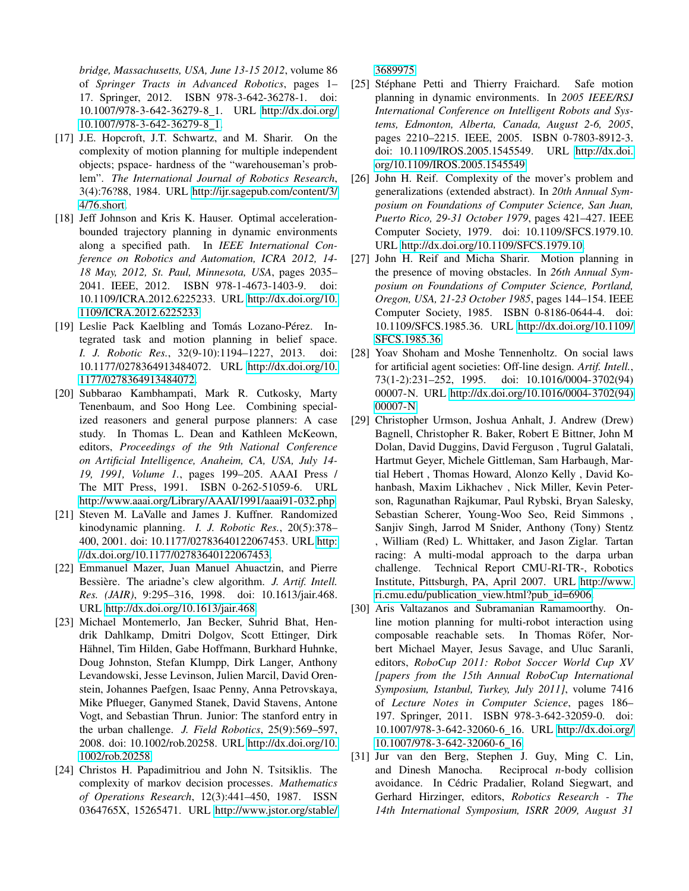*bridge, Massachusetts, USA, June 13-15 2012*, volume 86 of *Springer Tracts in Advanced Robotics*, pages 1– 17. Springer, 2012. ISBN 978-3-642-36278-1. doi: 10.1007/978-3-642-36279-8 1. URL [http://dx.doi.org/](http://dx.doi.org/10.1007/978-3-642-36279-8_1) [10.1007/978-3-642-36279-8](http://dx.doi.org/10.1007/978-3-642-36279-8_1) 1.

- <span id="page-9-5"></span>[17] J.E. Hopcroft, J.T. Schwartz, and M. Sharir. On the complexity of motion planning for multiple independent objects; pspace- hardness of the "warehouseman's problem". *The International Journal of Robotics Research*, 3(4):76?88, 1984. URL [http://ijr.sagepub.com/content/3/](http://ijr.sagepub.com/content/3/4/76.short) [4/76.short.](http://ijr.sagepub.com/content/3/4/76.short)
- <span id="page-9-13"></span>[18] Jeff Johnson and Kris K. Hauser. Optimal accelerationbounded trajectory planning in dynamic environments along a specified path. In *IEEE International Conference on Robotics and Automation, ICRA 2012, 14- 18 May, 2012, St. Paul, Minnesota, USA*, pages 2035– 2041. IEEE, 2012. ISBN 978-1-4673-1403-9. doi: 10.1109/ICRA.2012.6225233. URL [http://dx.doi.org/10.](http://dx.doi.org/10.1109/ICRA.2012.6225233) [1109/ICRA.2012.6225233.](http://dx.doi.org/10.1109/ICRA.2012.6225233)
- <span id="page-9-10"></span>[19] Leslie Pack Kaelbling and Tomás Lozano-Pérez. Integrated task and motion planning in belief space. *I. J. Robotic Res.*, 32(9-10):1194–1227, 2013. doi: 10.1177/0278364913484072. URL [http://dx.doi.org/10.](http://dx.doi.org/10.1177/0278364913484072) [1177/0278364913484072.](http://dx.doi.org/10.1177/0278364913484072)
- <span id="page-9-9"></span>[20] Subbarao Kambhampati, Mark R. Cutkosky, Marty Tenenbaum, and Soo Hong Lee. Combining specialized reasoners and general purpose planners: A case study. In Thomas L. Dean and Kathleen McKeown, editors, *Proceedings of the 9th National Conference on Artificial Intelligence, Anaheim, CA, USA, July 14- 19, 1991, Volume 1.*, pages 199–205. AAAI Press / The MIT Press, 1991. ISBN 0-262-51059-6. URL [http://www.aaai.org/Library/AAAI/1991/aaai91-032.php.](http://www.aaai.org/Library/AAAI/1991/aaai91-032.php)
- <span id="page-9-7"></span>[21] Steven M. LaValle and James J. Kuffner. Randomized kinodynamic planning. *I. J. Robotic Res.*, 20(5):378– 400, 2001. doi: 10.1177/02783640122067453. URL [http:](http://dx.doi.org/10.1177/02783640122067453) [//dx.doi.org/10.1177/02783640122067453.](http://dx.doi.org/10.1177/02783640122067453)
- <span id="page-9-12"></span>[22] Emmanuel Mazer, Juan Manuel Ahuactzin, and Pierre Bessière. The ariadne's clew algorithm. *J. Artif. Intell. Res. (JAIR)*, 9:295–316, 1998. doi: 10.1613/jair.468. URL [http://dx.doi.org/10.1613/jair.468.](http://dx.doi.org/10.1613/jair.468)
- <span id="page-9-2"></span>[23] Michael Montemerlo, Jan Becker, Suhrid Bhat, Hendrik Dahlkamp, Dmitri Dolgov, Scott Ettinger, Dirk Hähnel, Tim Hilden, Gabe Hoffmann, Burkhard Huhnke, Doug Johnston, Stefan Klumpp, Dirk Langer, Anthony Levandowski, Jesse Levinson, Julien Marcil, David Orenstein, Johannes Paefgen, Isaac Penny, Anna Petrovskaya, Mike Pflueger, Ganymed Stanek, David Stavens, Antone Vogt, and Sebastian Thrun. Junior: The stanford entry in the urban challenge. *J. Field Robotics*, 25(9):569–597, 2008. doi: 10.1002/rob.20258. URL [http://dx.doi.org/10.](http://dx.doi.org/10.1002/rob.20258) [1002/rob.20258.](http://dx.doi.org/10.1002/rob.20258)
- <span id="page-9-6"></span>[24] Christos H. Papadimitriou and John N. Tsitsiklis. The complexity of markov decision processes. *Mathematics of Operations Research*, 12(3):441–450, 1987. ISSN 0364765X, 15265471. URL [http://www.jstor.org/stable/](http://www.jstor.org/stable/3689975)

[3689975.](http://www.jstor.org/stable/3689975)

- <span id="page-9-11"></span>[25] Stéphane Petti and Thierry Fraichard. Safe motion planning in dynamic environments. In *2005 IEEE/RSJ International Conference on Intelligent Robots and Systems, Edmonton, Alberta, Canada, August 2-6, 2005*, pages 2210–2215. IEEE, 2005. ISBN 0-7803-8912-3. doi: 10.1109/IROS.2005.1545549. URL [http://dx.doi.](http://dx.doi.org/10.1109/IROS.2005.1545549) [org/10.1109/IROS.2005.1545549.](http://dx.doi.org/10.1109/IROS.2005.1545549)
- <span id="page-9-4"></span>[26] John H. Reif. Complexity of the mover's problem and generalizations (extended abstract). In *20th Annual Symposium on Foundations of Computer Science, San Juan, Puerto Rico, 29-31 October 1979*, pages 421–427. IEEE Computer Society, 1979. doi: 10.1109/SFCS.1979.10. URL [http://dx.doi.org/10.1109/SFCS.1979.10.](http://dx.doi.org/10.1109/SFCS.1979.10)
- <span id="page-9-0"></span>[27] John H. Reif and Micha Sharir. Motion planning in the presence of moving obstacles. In *26th Annual Symposium on Foundations of Computer Science, Portland, Oregon, USA, 21-23 October 1985*, pages 144–154. IEEE Computer Society, 1985. ISBN 0-8186-0644-4. doi: 10.1109/SFCS.1985.36. URL [http://dx.doi.org/10.1109/](http://dx.doi.org/10.1109/SFCS.1985.36) [SFCS.1985.36.](http://dx.doi.org/10.1109/SFCS.1985.36)
- <span id="page-9-8"></span>[28] Yoav Shoham and Moshe Tennenholtz. On social laws for artificial agent societies: Off-line design. *Artif. Intell.*, 73(1-2):231–252, 1995. doi: 10.1016/0004-3702(94) 00007-N. URL [http://dx.doi.org/10.1016/0004-3702\(94\)](http://dx.doi.org/10.1016/0004-3702(94)00007-N) [00007-N.](http://dx.doi.org/10.1016/0004-3702(94)00007-N)
- <span id="page-9-1"></span>[29] Christopher Urmson, Joshua Anhalt, J. Andrew (Drew) Bagnell, Christopher R. Baker, Robert E Bittner, John M Dolan, David Duggins, David Ferguson , Tugrul Galatali, Hartmut Geyer, Michele Gittleman, Sam Harbaugh, Martial Hebert , Thomas Howard, Alonzo Kelly , David Kohanbash, Maxim Likhachev , Nick Miller, Kevin Peterson, Ragunathan Rajkumar, Paul Rybski, Bryan Salesky, Sebastian Scherer, Young-Woo Seo, Reid Simmons , Sanjiv Singh, Jarrod M Snider, Anthony (Tony) Stentz , William (Red) L. Whittaker, and Jason Ziglar. Tartan racing: A multi-modal approach to the darpa urban challenge. Technical Report CMU-RI-TR-, Robotics Institute, Pittsburgh, PA, April 2007. URL [http://www.](http://www.ri.cmu.edu/publication_view.html?pub_id=6906) [ri.cmu.edu/publication](http://www.ri.cmu.edu/publication_view.html?pub_id=6906) view.html?pub id=6906.
- <span id="page-9-14"></span>[30] Aris Valtazanos and Subramanian Ramamoorthy. Online motion planning for multi-robot interaction using composable reachable sets. In Thomas Röfer, Norbert Michael Mayer, Jesus Savage, and Uluc Saranli, editors, *RoboCup 2011: Robot Soccer World Cup XV [papers from the 15th Annual RoboCup International Symposium, Istanbul, Turkey, July 2011]*, volume 7416 of *Lecture Notes in Computer Science*, pages 186– 197. Springer, 2011. ISBN 978-3-642-32059-0. doi: 10.1007/978-3-642-32060-6 16. URL [http://dx.doi.org/](http://dx.doi.org/10.1007/978-3-642-32060-6_16) [10.1007/978-3-642-32060-6](http://dx.doi.org/10.1007/978-3-642-32060-6_16) 16.
- <span id="page-9-3"></span>[31] Jur van den Berg, Stephen J. Guy, Ming C. Lin, and Dinesh Manocha. Reciprocal *n*-body collision avoidance. In Cédric Pradalier, Roland Siegwart, and Gerhard Hirzinger, editors, *Robotics Research - The 14th International Symposium, ISRR 2009, August 31*